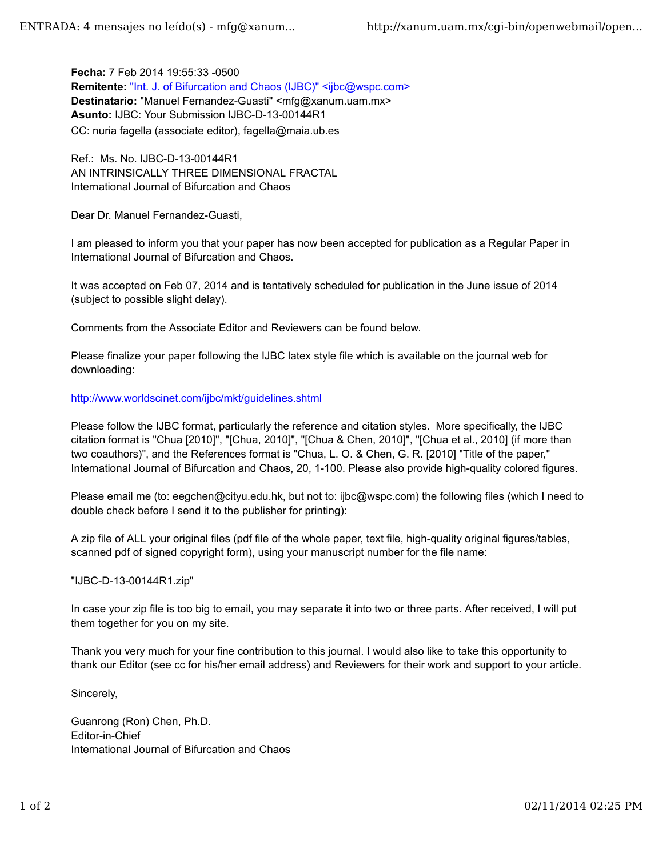**Fecha:** 7 Feb 2014 19:55:33 -0500 Remitente: "Int. J. of Bifurcation and Chaos (IJBC)" <ijbc@wspc.com> Destinatario: "Manuel Fernandez-Guasti" <mfg@xanum.uam.mx> **Asunto:** IJBC: Your Submission IJBC-D-13-00144R1 CC: nuria fagella (associate editor), fagella@maia.ub.es

Ref.: Ms. No. IJBC-D-13-00144R1 AN INTRINSICALLY THREE DIMENSIONAL FRACTAL International Journal of Bifurcation and Chaos

Dear Dr. Manuel Fernandez-Guasti,

I am pleased to inform you that your paper has now been accepted for publication as a Regular Paper in International Journal of Bifurcation and Chaos.

It was accepted on Feb 07, 2014 and is tentatively scheduled for publication in the June issue of 2014 (subject to possible slight delay).

Comments from the Associate Editor and Reviewers can be found below.

Please finalize your paper following the IJBC latex style file which is available on the journal web for downloading:

## http://www.worldscinet.com/ijbc/mkt/guidelines.shtml

Please follow the IJBC format, particularly the reference and citation styles. More specifically, the IJBC citation format is "Chua [2010]", "[Chua, 2010]", "[Chua & Chen, 2010]", "[Chua et al., 2010] (if more than two coauthors)", and the References format is "Chua, L. O. & Chen, G. R. [2010] "Title of the paper," International Journal of Bifurcation and Chaos, 20, 1-100. Please also provide high-quality colored figures.

Please email me (to: eegchen@cityu.edu.hk, but not to: ijbc@wspc.com) the following files (which I need to double check before I send it to the publisher for printing):

A zip file of ALL your original files (pdf file of the whole paper, text file, high-quality original figures/tables, scanned pdf of signed copyright form), using your manuscript number for the file name:

## "IJBC-D-13-00144R1.zip"

In case your zip file is too big to email, you may separate it into two or three parts. After received, I will put them together for you on my site.

Thank you very much for your fine contribution to this journal. I would also like to take this opportunity to thank our Editor (see cc for his/her email address) and Reviewers for their work and support to your article.

## Sincerely,

Guanrong (Ron) Chen, Ph.D. Editor-in-Chief International Journal of Bifurcation and Chaos